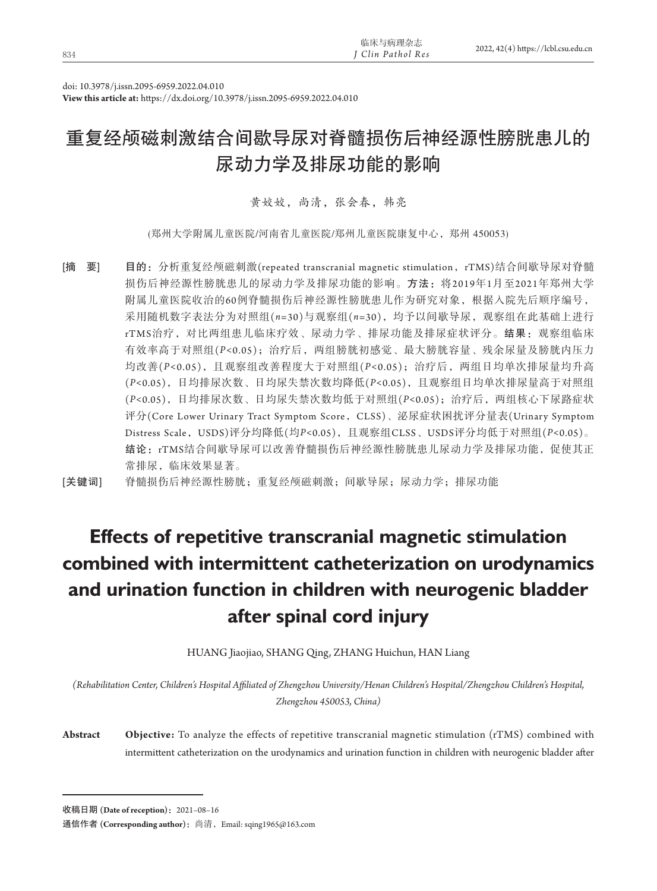| 834 | 临床与病理杂志<br>J Clin Pathol Res | 2022, 42(4) https://lcbl.csu.edu.cn |
|-----|------------------------------|-------------------------------------|
|     |                              |                                     |

doi: 10.3978/j.issn.2095-6959.2022.04.010

**View this article at:** https://dx.doi.org/10.3978/j.issn.2095-6959.2022.04.010

# 重复经颅磁刺激结合间歇导尿对脊髓损伤后神经源性膀胱患儿的 尿动力学及排尿功能的影响

黄姣姣,尚清,张会春,韩亮

(郑州大学附属儿童医院/河南省儿童医院/郑州儿童医院康复中心,郑州 450053)

[摘 要] 目的: 分析重复经颅磁刺激(repeated transcranial magnetic stimulation, rTMS)结合间歇导尿对脊髓 损伤后神经源性膀胱患儿的尿动力学及排尿功能的影响。方法: 将2019年1月至2021年郑州大学 附属儿童医院收治的60例脊髓损伤后神经源性膀胱患儿作为研究对象,根据入院先后顺序编号, 采用随机数字表法分为对照组(*n*=30)与观察组(*n*=30),均予以间歇导尿,观察组在此基础上进行 rTMS治疗,对比两组患儿临床疗效、尿动力学、排尿功能及排尿症状评分。结果:观察组临床 有效率高于对照组(*P<*0.05);治疗后,两组膀胱初感觉、最大膀胱容量、残余尿量及膀胱内压力 均改善(*P<*0.05),且观察组改善程度大于对照组(*P<*0.05);治疗后,两组日均单次排尿量均升高 (*P<*0.05),日均排尿次数、日均尿失禁次数均降低(*P<*0.05),且观察组日均单次排尿量高于对照组 (*P<*0.05),日均排尿次数、日均尿失禁次数均低于对照组(*P<*0.05);治疗后,两组核心下尿路症状 评分(Core Lower Urinary Tract Symptom Score, CLSS)、泌尿症状困扰评分量表(Urinary Symptom Distress Scale,USDS)评分均降低(均*P<*0.05),且观察组CLSS、USDS评分均低于对照组(*P<*0.05)。 结论:rTMS结合间歇导尿可以改善脊髓损伤后神经源性膀胱患儿尿动力学及排尿功能,促使其正 常排尿,临床效果显著。

[关键词] 脊髓损伤后神经源性膀胱;重复经颅磁刺激;间歇导尿;尿动力学;排尿功能

# **Effects of repetitive transcranial magnetic stimulation combined with intermittent catheterization on urodynamics and urination function in children with neurogenic bladder after spinal cord injury**

HUANG Jiaojiao, SHANG Qing, ZHANG Huichun, HAN Liang

*(Rehabilitation Center, Children's Hospital Affiliated of Zhengzhou University/Henan Children's Hospital/Zhengzhou Children's Hospital, Zhengzhou 450053, China)*

**Abstract Objective:** To analyze the effects of repetitive transcranial magnetic stimulation (rTMS) combined with intermittent catheterization on the urodynamics and urination function in children with neurogenic bladder after

收稿日期 **(Date of reception)**:2021–08–16

通信作者 **(Corresponding author)**:尚清,Email: sqing1965@163.com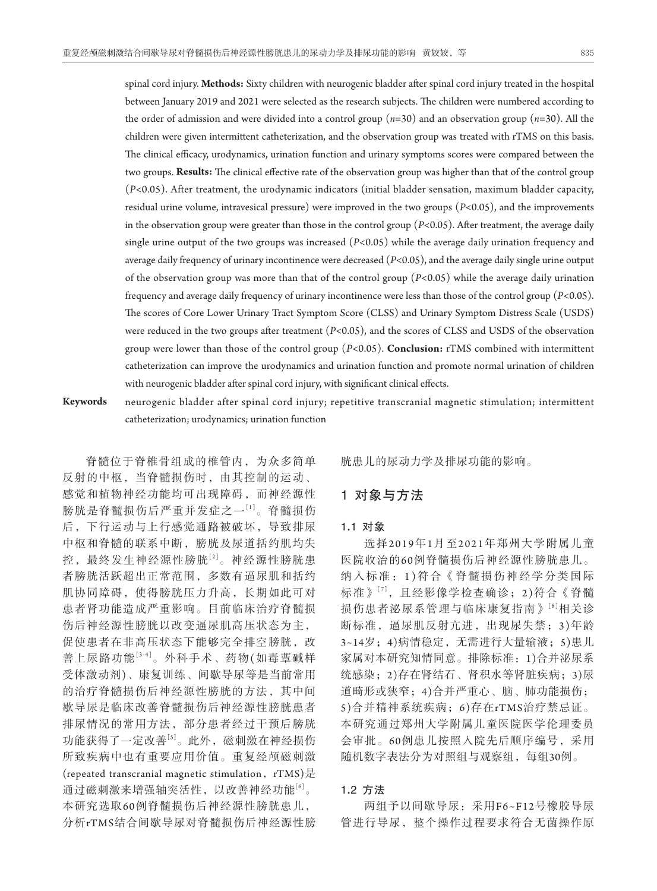spinal cord injury. **Methods:** Sixty children with neurogenic bladder after spinal cord injury treated in the hospital between January 2019 and 2021 were selected as the research subjects. The children were numbered according to the order of admission and were divided into a control group (*n=*30) and an observation group (*n=*30). All the children were given intermittent catheterization, and the observation group was treated with rTMS on this basis. The clinical efficacy, urodynamics, urination function and urinary symptoms scores were compared between the two groups. **Results:** The clinical effective rate of the observation group was higher than that of the control group (*P<*0.05). After treatment, the urodynamic indicators (initial bladder sensation, maximum bladder capacity, residual urine volume, intravesical pressure) were improved in the two groups (*P<*0.05), and the improvements in the observation group were greater than those in the control group (*P<*0.05). After treatment, the average daily single urine output of the two groups was increased (*P<*0.05) while the average daily urination frequency and average daily frequency of urinary incontinence were decreased (*P<*0.05), and the average daily single urine output of the observation group was more than that of the control group (*P<*0.05) while the average daily urination frequency and average daily frequency of urinary incontinence were less than those of the control group (*P<*0.05). The scores of Core Lower Urinary Tract Symptom Score (CLSS) and Urinary Symptom Distress Scale (USDS) were reduced in the two groups after treatment (*P<*0.05), and the scores of CLSS and USDS of the observation group were lower than those of the control group (*P<*0.05). **Conclusion:** rTMS combined with intermittent catheterization can improve the urodynamics and urination function and promote normal urination of children with neurogenic bladder after spinal cord injury, with significant clinical effects.

**Keywords** neurogenic bladder after spinal cord injury; repetitive transcranial magnetic stimulation; intermittent catheterization; urodynamics; urination function

脊髓位于脊椎骨组成的椎管内,为众多简单 反射的中枢,当脊髓损伤时,由其控制的运动、 感觉和植物神经功能均可出现障碍,而神经源性 膀胱是脊髓损伤后严重并发症之一[1]。脊髓损伤 后,下行运动与上行感觉通路被破坏,导致排尿 中枢和脊髓的联系中断,膀胱及尿道括约肌均失 控,最终发生神经源性膀胱[2]。神经源性膀胱患 者膀胱活跃超出正常范围,多数有逼尿肌和括约 肌协同障碍,使得膀胱压力升高,长期如此可对 患者肾功能造成严重影响。目前临床治疗脊髓损 伤后神经源性膀胱以改变逼尿肌高压状态为主, 促使患者在非高压状态下能够完全排空膀胱,改 善上尿路功能[3-4]。外科手术、药物(如毒蕈碱样 受体激动剂)、康复训练、间歇导尿等是当前常用 的治疗脊髓损伤后神经源性膀胱的方法,其中间 歇导尿是临床改善脊髓损伤后神经源性膀胱患者 排尿情况的常用方法,部分患者经过干预后膀胱 功能获得了一定改善<sup>[5]</sup>。此外,磁刺激在神经损伤 所致疾病中也有重要应用价值。重复经颅磁刺激 (repeated transcranial magnetic stimulation,  $rTMS$ )是 通过磁刺激来增强轴突活性,以改善神经功能<sup>[6]</sup>。 本研究选取60例脊髓损伤后神经源性膀胱患儿, 分析rTMS结合间歇导尿对脊髓损伤后神经源性膀

胱患儿的尿动力学及排尿功能的影响。

# 1对象与方法

#### 1**.**1对象

选择2019年1月至2021年郑州大学附属儿童 医院收治的6 0例脊髓损伤后神经源性膀胱患儿。 纳入标准:1 )符合《脊髓损伤神经学分类国际 标准》[7],且经影像学检查确诊;2 )符合《脊髓 损伤患者泌尿系管理与临床康复指南》[8]相关诊 断标准,逼尿肌反射亢进,出现尿失禁;3)年龄 3~14岁;4)病情稳定,无需进行大量输液;5)患儿 家属对本研究知情同意。排除标准:1)合并泌尿系 统感染;2)存在肾结石、肾积水等肾脏疾病;3)尿 道畸形或狭窄;4)合并严重心、脑、肺功能损伤; 5)合并精神系统疾病;6)存在rTMS治疗禁忌证。 本研究通过郑州大学附属儿童医院医学伦理委员 会审批。6 0例患儿按照入院先后顺序编号,采用 随机数字表法分为对照组与观察组,每组30例。

# 1**.**2方法

两组予以间歇导尿:采用F6~F12号橡胶导尿 管进行导尿,整个操作过程要求符合无菌操作原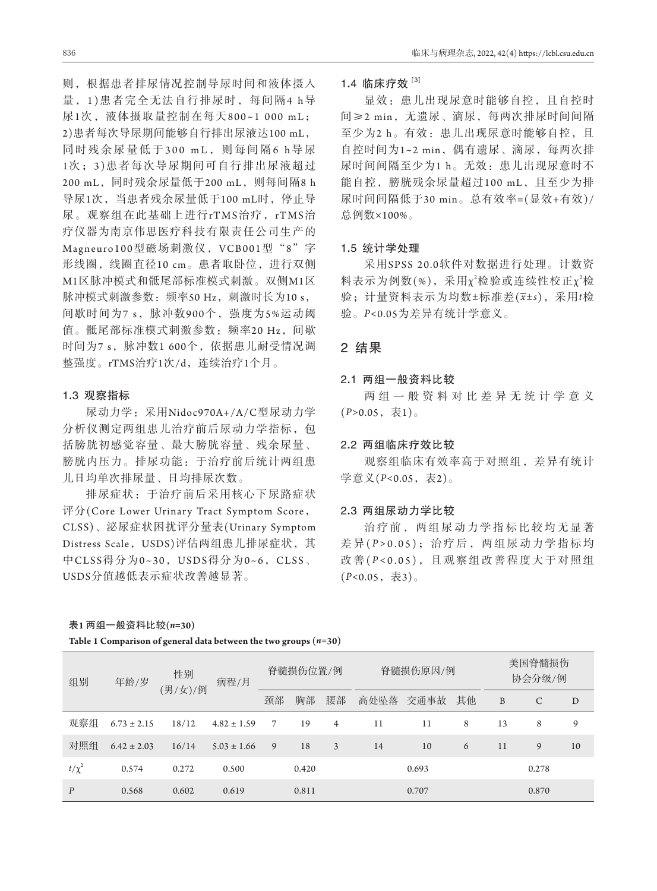则,根据患者排尿情况控制导尿时间和液体摄入 量 ,1 )患者完全无法自行排尿时,每间隔4 h导 尿1次,液体摄取量控制在每天800~1 000 mL; 2)患者每次导尿期间能够自行排出尿液达100 mL, 同时残余尿量低于300 mL, 则每间隔6 h导尿 1次 ;3 )患者每次导尿期间可自行排出尿液超过 200 mL, 同时残余尿量低于200 mL, 则每间隔8 h 导尿1次,当患者残余尿量低于100 mL时,停止导 尿。观察组在此基础上进行rTMS治疗,rTMS治 疗仪器为南京伟思医疗科技有限责任公司生产的 Magneuro100型磁场刺激仪, VCB001型"8"字 形线圈,线圈直径10 cm。患者取卧位,进行双侧 M1区脉冲模式和骶尾部标准模式刺激。双侧M1区 脉冲模式刺激参数: 频率50 Hz, 刺激时长为10 s, 间歇时间为7 s,脉冲数900个,强度为5%运动阈 值。骶尾部标准模式刺激参数:频率20 Hz,间歇 时间为7 s,脉冲数1 600个,依据患儿耐受情况调 整强度。rTMS治疗1次/d,连续治疗1个月。

# 1**.**3观察指标

尿动力学:采用Nidoc970A+/A/C型尿动力学 分析仪测定两组患儿治疗前后尿动力学指标,包 括膀胱初感觉容量、最大膀胱容量、残余尿量、 膀胱内压力。排尿功能:于治疗前后统计两组患 儿日均单次排尿量、日均排尿次数。

排尿症状:于治疗前后采用核心下尿路症状 评分(Core Lower Urinary Tract Symptom Score, CLSS)、泌尿症状困扰评分量表(Urinary Symptom Distress Scale, USDS)评估两组患儿排尿症状, 其 中CLSS得分为0~30, USDS得分为0~6, CLSS、 USDS分值越低表示症状改善越显著。

### 1**.**4临床疗效 **[**3**]**

显效:患儿出现尿意时能够自控,且自控时 间≥2 min,无遗尿、滴尿,每两次排尿时间间隔 至少为2 h。有效: 患儿出现尿意时能够自控, 且 自控时间为1~2 min,偶有遗尿、滴尿,每两次排 尿时间间隔至少为1 h。无效:患儿出现尿意时不 能自控,膀胱残余尿量超过100 mL,且至少为排 尿时间间隔低于30 min。总有效率=(显效+有效)/ 总例数×100%。

# 1**.**5统计学处理

采用SPSS 20.0软件对数据进行处理。计数资 料表示为例数(%), 采用χ2检验或连续性校正χ2检 验;计量资料表示为均数±标准差(*x*±*s*),采用*t*检 验。*P<*0.05为差异有统计学意义。

# 2结果

#### 2**.**1两组一般资料比较

两组一般资料对比差异无统计学意义 (*P>*0.05,表1)。

### 2**.**2两组临床疗效比较

观察组临床有效率高于对照组,差异有统计 学意义(*P*<0.05, 表2)。

#### 2**.**3两组尿动力学比较

治疗前,两组尿动力学指标比较均无显著 差 异( *P >* 0.05);治疗后,两组尿动力学指标均 改 善( *P <* 0.05),且观察组改善程度大于对照组 (*P<*0.05,表3)。

| Table 1 Comparison of general data between the two groups $(n=30)$ |  |  |  |  |
|--------------------------------------------------------------------|--|--|--|--|
|--------------------------------------------------------------------|--|--|--|--|

| 组别               | 性别<br>年龄/岁<br>(男/女)/例 |       | 病程/月            | 脊髓损伤位置/例 |       |    | 脊髓损伤原因/例 |       |    | 美国脊髓损伤<br>协会分级/例 |       |    |
|------------------|-----------------------|-------|-----------------|----------|-------|----|----------|-------|----|------------------|-------|----|
|                  |                       |       |                 | 颈部       | 胸部    | 腰部 | 高处坠落     | 交通事故  | 其他 | B                | C     | D  |
| 观察组              | $6.73 \pm 2.15$       | 18/12 | $4.82 \pm 1.59$ | 7        | 19    | 4  | 11       | 11    | 8  | 13               | 8     | 9  |
| 对照组              | $6.42 \pm 2.03$       | 16/14 | $5.03 \pm 1.66$ | 9        | 18    | 3  | 14       | 10    | 6  | 11               | 9     | 10 |
| $t/\chi^2$       | 0.574                 | 0.272 | 0.500           |          | 0.420 |    |          | 0.693 |    |                  | 0.278 |    |
| $\boldsymbol{P}$ | 0.568                 | 0.602 | 0.619           |          | 0.811 |    |          | 0.707 |    |                  | 0.870 |    |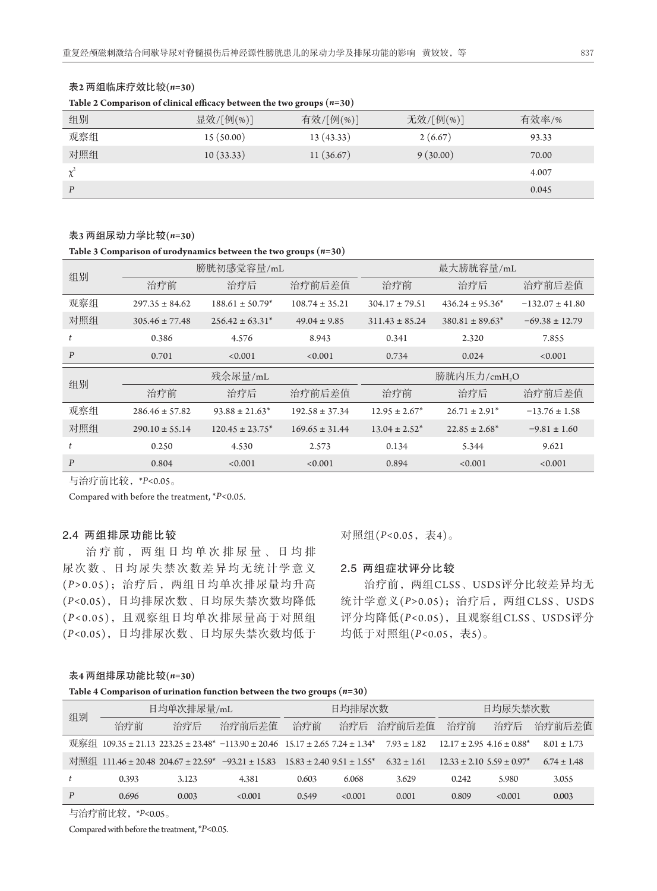|     | Table 2 Comparison of clinical efficacy between the two groups $(n=30)$ |           |           |       |  |  |  |
|-----|-------------------------------------------------------------------------|-----------|-----------|-------|--|--|--|
| 组别  | 显效/[例(%)]                                                               | 有效/[例(%)] | 无效/[例(%)] | 有效率/% |  |  |  |
| 观察组 | 15(50.00)                                                               | 13(43.33) | 2(6.67)   | 93.33 |  |  |  |
| 对照组 | 10(33.33)                                                               | 11(36.67) | 9(30.00)  | 70.00 |  |  |  |
|     |                                                                         |           |           | 4.007 |  |  |  |
| P   |                                                                         |           |           | 0.045 |  |  |  |

### 表**2** 两组临床疗效比较**(***n=***30)**

#### **Table 2 Comparison of clinical efficacy between the two groups (***n=***30)**

#### 表**3** 两组尿动力学比较**(***n=***30)**

**Table 3 Comparison of urodynamics between the two groups (***n=***30)**

| 组别               |                    | 膀胱初感觉容量/mL           |                    | 最大膀胱容量/mL          |                      |                     |
|------------------|--------------------|----------------------|--------------------|--------------------|----------------------|---------------------|
|                  | 治疗前                | 治疗后                  | 治疗前后差值             | 治疗前                | 治疗后                  | 治疗前后差值              |
| 观察组              | $297.35 \pm 84.62$ | $188.61 \pm 50.79^*$ | $108.74 \pm 35.21$ | $304.17 \pm 79.51$ | $436.24 \pm 95.36^*$ | $-132.07 \pm 41.80$ |
| 对照组              | $305.46 \pm 77.48$ | $256.42 \pm 63.31^*$ | $49.04 \pm 9.85$   | $311.43 \pm 85.24$ | $380.81 \pm 89.63^*$ | $-69.38 \pm 12.79$  |
| t                | 0.386              | 4.576                | 8.943              | 0.341              | 2.320                | 7.855               |
| $\boldsymbol{P}$ | 0.701              | < 0.001              | < 0.001            | 0.734              | 0.024                | <0.001              |
| 组别               |                    | 残余尿量/mL              |                    |                    | 膀胱内压力/cmH,O          |                     |
|                  | 治疗前                | 治疗后                  | 治疗前后差值             | 治疗前                | 治疗后                  | 治疗前后差值              |
| 观察组              | $286.46 \pm 57.82$ | $93.88 \pm 21.63^*$  | $192.58 \pm 37.34$ | $12.95 \pm 2.67^*$ | $26.71 \pm 2.91^*$   | $-13.76 \pm 1.58$   |
|                  |                    |                      |                    |                    |                      |                     |
| 对照组              | $290.10 \pm 55.14$ | $120.45 \pm 23.75^*$ | $169.65 \pm 31.44$ | $13.04 \pm 2.52^*$ | $22.85 \pm 2.68^*$   | $-9.81 \pm 1.60$    |
|                  | 0.250              | 4.530                | 2.573              | 0.134              | 5.344                | 9.621               |

与治疗前比较,\**P<*0.05。

Compared with before the treatment, \**P<*0.05.

# 2**.**4两组排尿功能比较

治疗前,两组日均单次排尿量、日均排 尿次数、日均尿失禁次数差异均无统计学意义 (*P >*0.05);治疗后,两组日均单次排尿量均升高 (*P<*0.05),日均排尿次数、日均尿失禁次数均降低 (*P <*0.05),且观察组日均单次排尿量高于对照组 (*P<*0.05),日均排尿次数、日均尿失禁次数均低于 对照组(*P<*0.05,表4)。

# 2**.**5两组症状评分比较

治疗前,两组CLSS、USDS评分比较差异均无 统计学意义(*P>*0.05);治疗后,两组CLSS、USDS 评分均降低(*P<*0.05),且观察组CLSS、USDS评分 均低于对照组(*P<*0.05,表5)。

#### 表**4** 两组排尿功能比较**(***n=***30)**

#### **Table 4 Comparison of urination function between the two groups (***n=***30)**

| 组别 |       | 日均单次排尿量/mL |                                                                                          |       | 日均排尿次数 |                 |                                               | 日均尿失禁次数 |                 |
|----|-------|------------|------------------------------------------------------------------------------------------|-------|--------|-----------------|-----------------------------------------------|---------|-----------------|
|    | 治疗前   | 治疗后        | 治疗前后差值                                                                                   | 治疗前   | 治疗后    | 治疗前后差值          | 治疗前                                           | 治疗后     | 治疗前后差值          |
|    |       |            | 观察组 109.35 ± 21.13 223.25 ± 23.48* -113.90 ± 20.46 15.17 ± 2.65 7.24 ± 1.34* 7.93 ± 1.82 |       |        |                 | $12.17 \pm 2.95$ 4.16 $\pm$ 0.88 <sup>*</sup> |         | $8.01 \pm 1.73$ |
|    |       |            | 对照组 111.46 ± 20.48 204.67 ± 22.59* -93.21 ± 15.83 15.83 ± 2.40 9.51 ± 1.55*              |       |        | $6.32 \pm 1.61$ | $12.33 \pm 2.10$ 5.59 $\pm$ 0.97 <sup>*</sup> |         | $6.74 \pm 1.48$ |
|    | 0.393 | 3.123      | 4.381                                                                                    | 0.603 | 6.068  | 3.629           | 0.242                                         | 5.980   | 3.055           |
| P  | 0.696 | 0.003      | <0.001                                                                                   | 0.549 | <0.001 | 0.001           | 0.809                                         | <0.001  | 0.003           |

与治疗前比较,\**P<*0.05。

Compared with before the treatment, \**P<*0.05.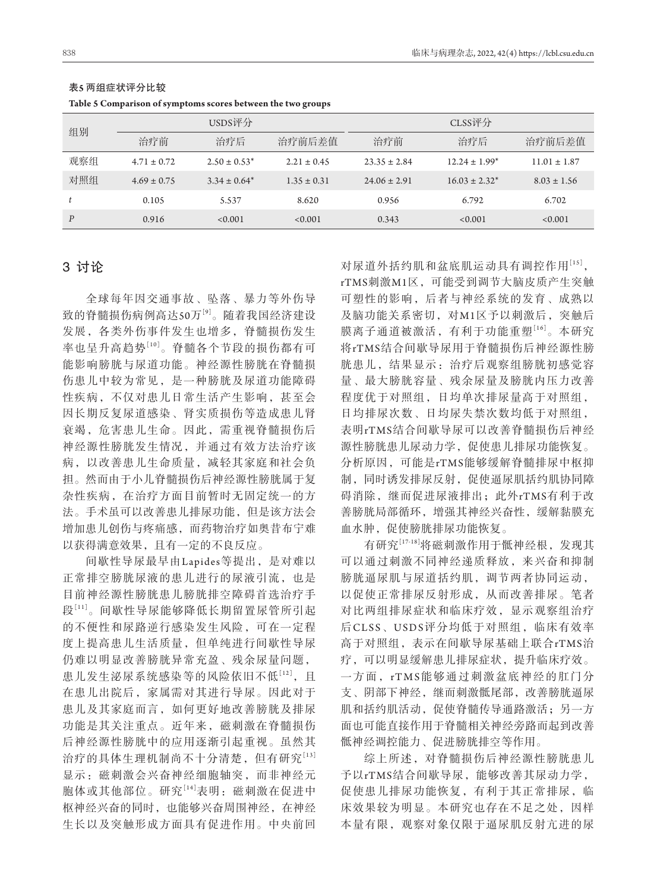| 组别               |                 | USDS评分            |                 |                  | CLSS评分             |                  |
|------------------|-----------------|-------------------|-----------------|------------------|--------------------|------------------|
|                  | 治疗前             | 治疗后               | 治疗前后差值          | 治疗前              | 治疗后                | 治疗前后差值           |
| 观察组              | $4.71 \pm 0.72$ | $2.50 \pm 0.53^*$ | $2.21 \pm 0.45$ | $23.35 \pm 2.84$ | $12.24 \pm 1.99^*$ | $11.01 \pm 1.87$ |
| 对照组              | $4.69 \pm 0.75$ | $3.34 \pm 0.64^*$ | $1.35 \pm 0.31$ | $24.06 \pm 2.91$ | $16.03 \pm 2.32^*$ | $8.03 \pm 1.56$  |
|                  | 0.105           | 5.537             | 8.620           | 0.956            | 6.792              | 6.702            |
| $\boldsymbol{P}$ | 0.916           | < 0.001           | < 0.001         | 0.343            | < 0.001            | < 0.001          |

#### 表**5** 两组症状评分比较

| Table 5 Comparison of symptoms scores between the two groups |  |
|--------------------------------------------------------------|--|
|--------------------------------------------------------------|--|

# 3讨论

全球每年因交通事故、坠落、暴力等外伤导 致的脊髓损伤病例高达50万[9]。随着我国经济建设 发展,各类外伤事件发生也增多,脊髓损伤发生 率也呈升高趋势[10]。脊髓各个节段的损伤都有可 能影响膀胱与尿道功能。神经源性膀胱在脊髓损 伤患儿中较为常见,是一种膀胱及尿道功能障碍 性疾病,不仅对患儿日常生活产生影响,甚至会 因长期反复尿道感染、肾实质损伤等造成患儿肾 衰竭,危害患儿生命。因此,需重视脊髓损伤后 神经源性膀胱发生情况,并通过有效方法治疗该 病,以改善患儿生命质量,减轻其家庭和社会负 担。然而由于小儿脊髓损伤后神经源性膀胱属于复 杂性疾病,在治疗方面目前暂时无固定统一的方 法。手术虽可以改善患儿排尿功能,但是该方法会 增加患儿创伤与疼痛感,而药物治疗如奥昔布宁难 以获得满意效果,且有一定的不良反应。

间歇性导尿最早由Lapides等提出,是对难以 正常排空膀胱尿液的患儿进行的尿液引流,也是 目前神经源性膀胱患儿膀胱排空障碍首选治疗手 段[11]。间歇性导尿能够降低长期留置尿管所引起 的不便性和尿路逆行感染发生风险,可在一定程 度上提高患儿生活质量,但单纯进行间歇性导尿 仍难以明显改善膀胱异常充盈、残余尿量问题, 患儿发生泌尿系统感染等的风险依旧不低[12],且 在患儿出院后,家属需对其进行导尿。因此对于 患儿及其家庭而言,如何更好地改善膀胱及排尿 功能是其关注重点。近年来,磁刺激在脊髓损伤 后神经源性膀胱中的应用逐渐引起重视。虽然其 治疗的具体生理机制尚不十分清楚,但有研究[13] 显示:磁刺激会兴奋神经细胞轴突,而非神经元 胞体或其他部位。研究[14]表明:磁刺激在促进中 枢神经兴奋的同时,也能够兴奋周围神经,在神经 生长以及突触形成方面具有促进作用。中央前回 对尿道外括约肌和盆底肌运动具有调控作用[15], rTMS刺激M1区,可能受到调节大脑皮质产生突触 可塑性的影响,后者与神经系统的发育、成熟以 及脑功能关系密切,对M1区予以刺激后,突触后 膜离子通道被激活,有利于功能重塑[16]。本研究 将rTMS结合间歇导尿用于脊髓损伤后神经源性膀 胱患儿,结果显示:治疗后观察组膀胱初感觉容 量、最大膀胱容量、残余尿量及膀胱内压力改善 程度优于对照组,日均单次排尿量高于对照组, 日均排尿次数、日均尿失禁次数均低于对照组, 表明rTMS结合间歇导尿可以改善脊髓损伤后神经 源性膀胱患儿尿动力学,促使患儿排尿功能恢复。 分析原因,可能是rTMS能够缓解脊髓排尿中枢抑 制,同时诱发排尿反射,促使逼尿肌括约肌协同障 碍消除,继而促进尿液排出;此外rTMS有利于改 善膀胱局部循环,增强其神经兴奋性,缓解黏膜充 血水肿,促使膀胱排尿功能恢复。

有研究[17-18]将磁刺激作用于骶神经根,发现其 可以通过刺激不同神经递质释放,来兴奋和抑制 膀胱逼尿肌与尿道括约肌,调节两者协同运动, 以促使正常排尿反射形成,从而改善排尿。笔者 对比两组排尿症状和临床疗效,显示观察组治疗 后CLSS、USDS评分均低于对照组,临床有效率 高于对照组,表示在间歇导尿基础上联合rTMS治 疗,可以明显缓解患儿排尿症状,提升临床疗效。 一方面,rTMS能够通过刺激盆底神经的肛门分 支、阴部下神经,继而刺激骶尾部,改善膀胱逼尿 肌和括约肌活动,促使脊髓传导通路激活;另一方 面也可能直接作用于脊髓相关神经旁路而起到改善 骶神经调控能力、促进膀胱排空等作用。

综上所述,对脊髓损伤后神经源性膀胱患儿 予以rTMS结合间歇导尿,能够改善其尿动力学, 促使患儿排尿功能恢复,有利于其正常排尿,临 床效果较为明显。本研究也存在不足之处,因样 本量有限,观察对象仅限于逼尿肌反射亢进的尿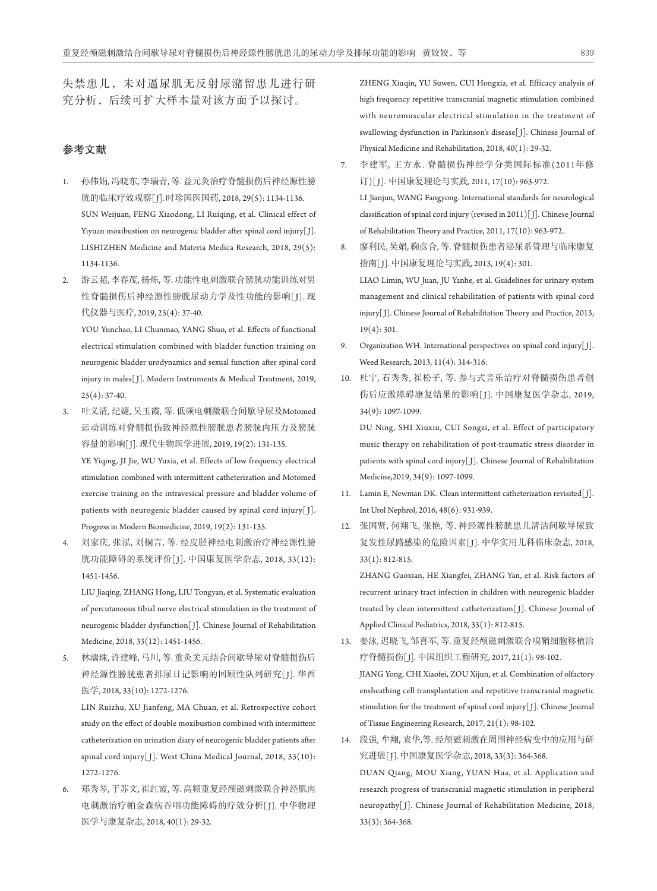失禁患儿,未对逼尿肌无反射尿潴留患儿进行研 究分析,后续可扩大样本量对该方面予以探讨。

# 参考文献

- 1. 孙伟娟, 冯晓东, 李瑞青, 等. 益元灸治疗脊髓损伤后神经源性膀 胱的临床疗效观察[ J]. 时珍国医国药, 2018, 29(5): 1134-1136. SUN Weijuan, FENG Xiaodong, LI Ruiqing, et al. Clinical effect of Yiyuan moxibustion on neurogenic bladder after spinal cord injury[J]. LISHIZHEN Medicine and Materia Medica Research, 2018, 29(5): 1134-1136.
- 2. 游云超, 李春茂, 杨烁, 等. 功能性电刺激联合膀胱功能训练对男 性脊髓损伤后神经源性膀胱尿动力学及性功能的影响[1]. 现 代仪器与医疗, 2019, 25(4): 37-40.

 YOU Yunchao, LI Chunmao, YANG Shuo, et al. Effects of functional electrical stimulation combined with bladder function training on neurogenic bladder urodynamics and sexual function after spinal cord injury in males[ J]. Modern Instruments & Medical Treatment, 2019,  $25(4): 37-40.$ 

3. 叶义清, 纪婕, 吴玉霞, 等. 低频电刺激联合间歇导尿及Motomed 运动训练对脊髓损伤致神经源性膀胱患者膀胱内压力及膀胱 容量的影响[ J]. 现代生物医学进展, 2019, 19(2): 131-135.

 YE Yiqing, JI Jie, WU Yuxia, et al. Effects of low frequency electrical stimulation combined with intermittent catheterization and Motomed exercise training on the intravesical pressure and bladder volume of patients with neurogenic bladder caused by spinal cord injury[J]. Progress in Modern Biomedicine, 2019, 19(2): 131-135.

4. 刘家庆, 张泓, 刘桐言, 等. 经皮胫神经电刺激治疗神经源性膀 胱功能障碍的系统评价[ J]. 中国康复医学杂志, 2018, 33(12): 1451-1456.

 LIU Jiaqing, ZHANG Hong, LIU Tongyan, et al. Systematic evaluation of percutaneous tibial nerve electrical stimulation in the treatment of neurogenic bladder dysfunction[ J]. Chinese Journal of Rehabilitation Medicine, 2018, 33(12): 1451-1456.

5. 林瑞珠, 许建峰, 马川, 等. 重灸关元结合间歇导尿对脊髓损伤后 神经源性膀胱患者排尿日记影响的回顾性队列研究[ J]. 华西 医学, 2018, 33(10): 1272-1276.

 LIN Ruizhu, XU Jianfeng, MA Chuan, et al. Retrospective cohort study on the effect of double moxibustion combined with intermittent catheterization on urination diary of neurogenic bladder patients after spinal cord injury[ J]. West China Medical Journal, 2018, 33(10): 1272-1276.

6. 郑秀琴, 于苏文, 崔红霞, 等. 高频重复经颅磁刺激联合神经肌肉 电刺激治疗帕金森病吞咽功能障碍的疗效分析[J]. 中华物理 医学与康复杂志, 2018, 40(1): 29-32.

 ZHENG Xiuqin, YU Suwen, CUI Hongxia, et al. Efficacy analysis of high frequency repetitive transcranial magnetic stimulation combined with neuromuscular electrical stimulation in the treatment of swallowing dysfunction in Parkinson's disease[ J]. Chinese Journal of Physical Medicine and Rehabilitation, 2018, 40(1): 29-32.

- 7. 李建军, 王方永. 脊髓损伤神经学分类国际标准(2011年修 订)[ J]. 中国康复理论与实践, 2011, 17(10): 963-972. LI Jianjun, WANG Fangyong. International standards for neurological classification of spinal cord injury (revised in 2011)[ J]. Chinese Journal of Rehabilitation Theory and Practice, 2011, 17(10): 963-972.
- 8. 廖利民, 吴娟, 鞠彦合, 等. 脊髓损伤患者泌尿系管理与临床康复 指南[ J]. 中国康复理论与实践, 2013, 19(4): 301. LIAO Limin, WU Juan, JU Yanhe, et al. Guidelines for urinary system management and clinical rehabilitation of patients with spinal cord injury[ J]. Chinese Journal of Rehabilitation Theory and Practice, 2013, 19(4): 301.
- 9. Organization WH. International perspectives on spinal cord injury[J]. Weed Research, 2013, 11(4): 314-316.
- 10. 杜宁, 石秀秀, 崔松子, 等. 参与式音乐治疗对脊髓损伤患者创 伤后应激障碍康复结果的影响[ J]. 中国康复医学杂志, 2019, 34(9): 1097-1099.

 DU Ning, SHI Xiuxiu, CUI Songzi, et al. Effect of participatory music therapy on rehabilitation of post-traumatic stress disorder in patients with spinal cord injury[ J]. Chinese Journal of Rehabilitation Medicine,2019, 34(9): 1097-1099.

- 11. Lamin E, Newman DK. Clean intermittent catheterization revisited<sup>[1]</sup>. Int Urol Nephrol, 2016, 48(6): 931-939.
- 12. 张国贤, 何翔飞, 张艳, 等. 神经源性膀胱患儿清洁间歇导尿致 复发性尿路感染的危险因素[J]. 中华实用儿科临床杂志, 2018, 33(1): 812-815.

 ZHANG Guoxian, HE Xiangfei, ZHANG Yan, et al. Risk factors of recurrent urinary tract infection in children with neurogenic bladder treated by clean intermittent catheterization[ J]. Chinese Journal of Applied Clinical Pediatrics, 2018, 33(1): 812-815.

13. 姜泳, 迟晓飞, 邹喜军, 等. 重复经颅磁刺激联合嗅鞘细胞移植治 疗脊髓损伤[ J]. 中国组织工程研究, 2017, 21(1): 98-102. JIANG Yong, CHI Xiaofei, ZOU Xijun, et al. Combination of olfactory ensheathing cell transplantation and repetitive transcranial magnetic stimulation for the treatment of spinal cord injury[J]. Chinese Journal of Tissue Engineering Research, 2017, 21(1): 98-102.

14. 段强, 牟翔, 袁华,等. 经颅磁刺激在周围神经病变中的应用与研 究进展[ J]. 中国康复医学杂志, 2018, 33(3): 364-368. DUAN Qiang, MOU Xiang, YUAN Hua, et al. Application and research progress of transcranial magnetic stimulation in peripheral neuropathy[J]. Chinese Journal of Rehabilitation Medicine, 2018, 33(3): 364-368.